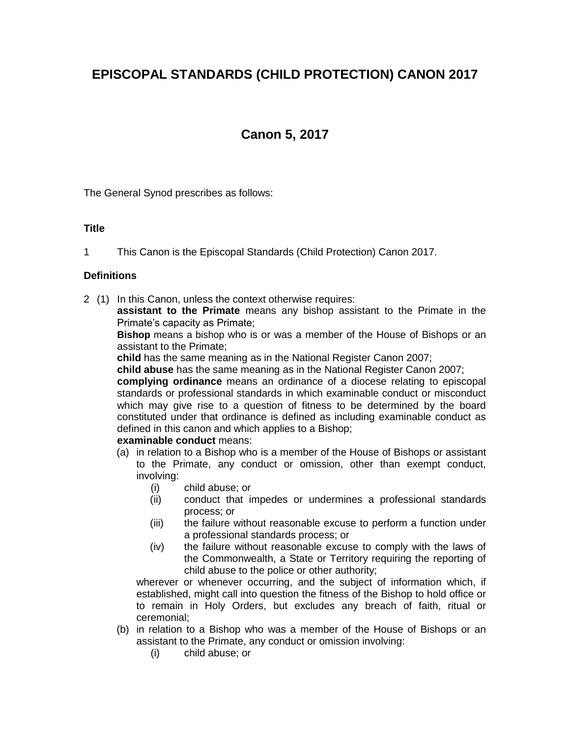# **EPISCOPAL STANDARDS (CHILD PROTECTION) CANON 2017**

# **Canon 5, 2017**

The General Synod prescribes as follows:

## **Title**

1 This Canon is the Episcopal Standards (Child Protection) Canon 2017.

## **Definitions**

- 2 (1) In this Canon, unless the context otherwise requires:
	- **assistant to the Primate** means any bishop assistant to the Primate in the Primate's capacity as Primate;

**Bishop** means a bishop who is or was a member of the House of Bishops or an assistant to the Primate;

**child** has the same meaning as in the National Register Canon 2007;

**child abuse** has the same meaning as in the National Register Canon 2007;

**complying ordinance** means an ordinance of a diocese relating to episcopal standards or professional standards in which examinable conduct or misconduct which may give rise to a question of fitness to be determined by the board constituted under that ordinance is defined as including examinable conduct as defined in this canon and which applies to a Bishop;

# **examinable conduct** means:

- (a) in relation to a Bishop who is a member of the House of Bishops or assistant to the Primate, any conduct or omission, other than exempt conduct, involving:
	- (i) child abuse; or
	- (ii) conduct that impedes or undermines a professional standards process; or
	- (iii) the failure without reasonable excuse to perform a function under a professional standards process; or
	- (iv) the failure without reasonable excuse to comply with the laws of the Commonwealth, a State or Territory requiring the reporting of child abuse to the police or other authority;

wherever or whenever occurring, and the subject of information which, if established, might call into question the fitness of the Bishop to hold office or to remain in Holy Orders, but excludes any breach of faith, ritual or ceremonial;

- (b) in relation to a Bishop who was a member of the House of Bishops or an assistant to the Primate, any conduct or omission involving:
	- (i) child abuse; or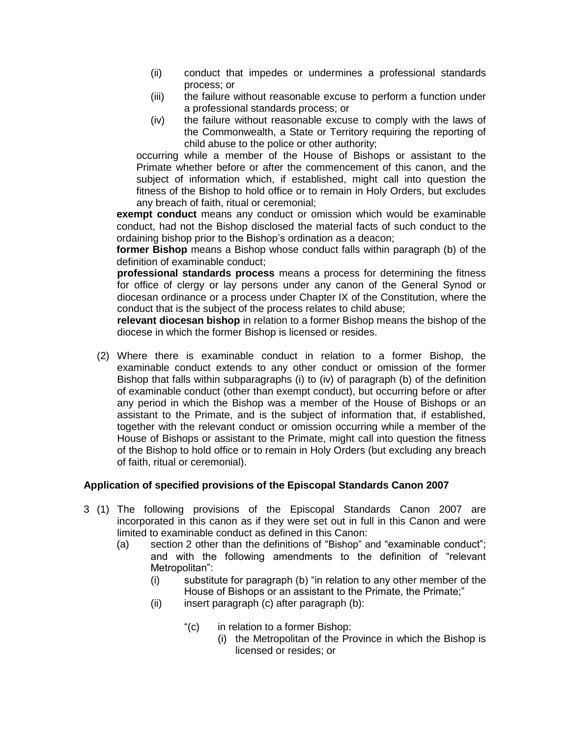- (ii) conduct that impedes or undermines a professional standards process; or
- (iii) the failure without reasonable excuse to perform a function under a professional standards process; or
- (iv) the failure without reasonable excuse to comply with the laws of the Commonwealth, a State or Territory requiring the reporting of child abuse to the police or other authority;

occurring while a member of the House of Bishops or assistant to the Primate whether before or after the commencement of this canon, and the subject of information which, if established, might call into question the fitness of the Bishop to hold office or to remain in Holy Orders, but excludes any breach of faith, ritual or ceremonial;

**exempt conduct** means any conduct or omission which would be examinable conduct, had not the Bishop disclosed the material facts of such conduct to the ordaining bishop prior to the Bishop's ordination as a deacon;

**former Bishop** means a Bishop whose conduct falls within paragraph (b) of the definition of examinable conduct;

**professional standards process** means a process for determining the fitness for office of clergy or lay persons under any canon of the General Synod or diocesan ordinance or a process under Chapter IX of the Constitution, where the conduct that is the subject of the process relates to child abuse;

**relevant diocesan bishop** in relation to a former Bishop means the bishop of the diocese in which the former Bishop is licensed or resides.

(2) Where there is examinable conduct in relation to a former Bishop, the examinable conduct extends to any other conduct or omission of the former Bishop that falls within subparagraphs (i) to (iv) of paragraph (b) of the definition of examinable conduct (other than exempt conduct), but occurring before or after any period in which the Bishop was a member of the House of Bishops or an assistant to the Primate, and is the subject of information that, if established, together with the relevant conduct or omission occurring while a member of the House of Bishops or assistant to the Primate, might call into question the fitness of the Bishop to hold office or to remain in Holy Orders (but excluding any breach of faith, ritual or ceremonial).

## **Application of specified provisions of the Episcopal Standards Canon 2007**

- 3 (1) The following provisions of the Episcopal Standards Canon 2007 are incorporated in this canon as if they were set out in full in this Canon and were limited to examinable conduct as defined in this Canon:
	- (a) section 2 other than the definitions of "Bishop" and "examinable conduct"; and with the following amendments to the definition of "relevant Metropolitan":
		- (i) substitute for paragraph (b) "in relation to any other member of the House of Bishops or an assistant to the Primate, the Primate;"
		- (ii) insert paragraph (c) after paragraph (b):
			- "(c) in relation to a former Bishop:
				- (i) the Metropolitan of the Province in which the Bishop is licensed or resides; or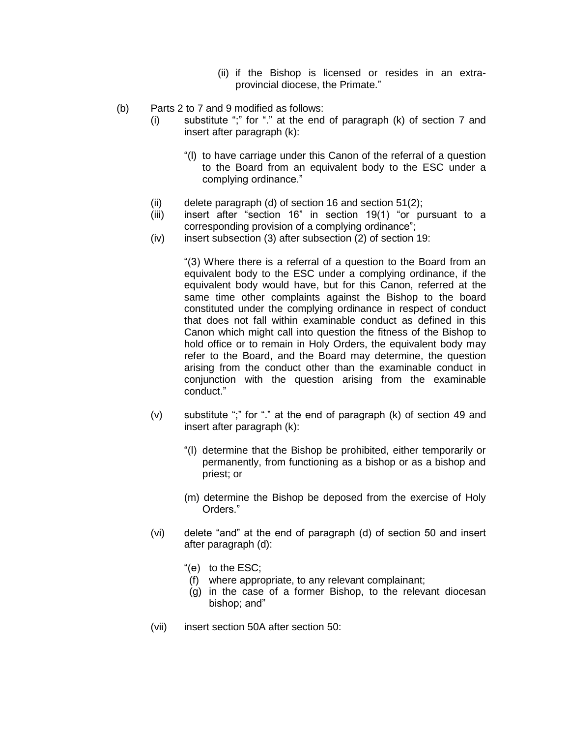- (ii) if the Bishop is licensed or resides in an extraprovincial diocese, the Primate."
- (b) Parts 2 to 7 and 9 modified as follows:
	- (i) substitute ";" for "." at the end of paragraph (k) of section 7 and insert after paragraph (k):
		- "(l) to have carriage under this Canon of the referral of a question to the Board from an equivalent body to the ESC under a complying ordinance."
	- (ii) delete paragraph (d) of section 16 and section 51(2);
	- (iii) insert after "section 16" in section 19(1) "or pursuant to a corresponding provision of a complying ordinance";
	- (iv) insert subsection (3) after subsection (2) of section 19:

"(3) Where there is a referral of a question to the Board from an equivalent body to the ESC under a complying ordinance, if the equivalent body would have, but for this Canon, referred at the same time other complaints against the Bishop to the board constituted under the complying ordinance in respect of conduct that does not fall within examinable conduct as defined in this Canon which might call into question the fitness of the Bishop to hold office or to remain in Holy Orders, the equivalent body may refer to the Board, and the Board may determine, the question arising from the conduct other than the examinable conduct in conjunction with the question arising from the examinable conduct."

- (v) substitute ";" for "." at the end of paragraph (k) of section 49 and insert after paragraph (k):
	- "(l) determine that the Bishop be prohibited, either temporarily or permanently, from functioning as a bishop or as a bishop and priest; or
	- (m) determine the Bishop be deposed from the exercise of Holy Orders."
- (vi) delete "and" at the end of paragraph (d) of section 50 and insert after paragraph (d):
	- "(e) to the ESC;
	- (f) where appropriate, to any relevant complainant;
	- (g) in the case of a former Bishop, to the relevant diocesan bishop; and"
- (vii) insert section 50A after section 50: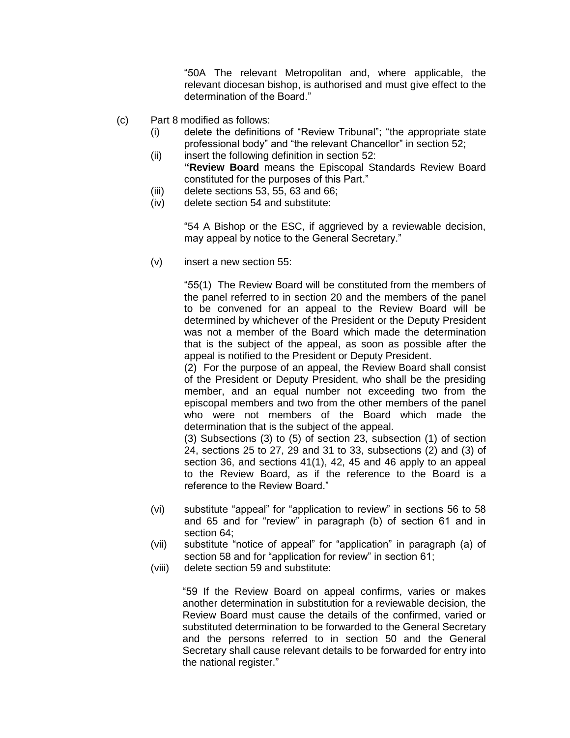"50A The relevant Metropolitan and, where applicable, the relevant diocesan bishop, is authorised and must give effect to the determination of the Board."

- (c) Part 8 modified as follows:
	- (i) delete the definitions of "Review Tribunal"; "the appropriate state professional body" and "the relevant Chancellor" in section 52;
	- (ii) insert the following definition in section 52: **"Review Board** means the Episcopal Standards Review Board constituted for the purposes of this Part."
	- (iii) delete sections 53, 55, 63 and 66;
	- (iv) delete section 54 and substitute:

"54 A Bishop or the ESC, if aggrieved by a reviewable decision, may appeal by notice to the General Secretary."

(v) insert a new section 55:

"55(1) The Review Board will be constituted from the members of the panel referred to in section 20 and the members of the panel to be convened for an appeal to the Review Board will be determined by whichever of the President or the Deputy President was not a member of the Board which made the determination that is the subject of the appeal, as soon as possible after the appeal is notified to the President or Deputy President.

(2) For the purpose of an appeal, the Review Board shall consist of the President or Deputy President, who shall be the presiding member, and an equal number not exceeding two from the episcopal members and two from the other members of the panel who were not members of the Board which made the determination that is the subject of the appeal.

(3) Subsections (3) to (5) of section 23, subsection (1) of section 24, sections 25 to 27, 29 and 31 to 33, subsections (2) and (3) of section 36, and sections 41(1), 42, 45 and 46 apply to an appeal to the Review Board, as if the reference to the Board is a reference to the Review Board."

- (vi) substitute "appeal" for "application to review" in sections 56 to 58 and 65 and for "review" in paragraph (b) of section 61 and in section 64;
- (vii) substitute "notice of appeal" for "application" in paragraph (a) of section 58 and for "application for review" in section 61;
- (viii) delete section 59 and substitute:

"59 If the Review Board on appeal confirms, varies or makes another determination in substitution for a reviewable decision, the Review Board must cause the details of the confirmed, varied or substituted determination to be forwarded to the General Secretary and the persons referred to in section 50 and the General Secretary shall cause relevant details to be forwarded for entry into the national register."